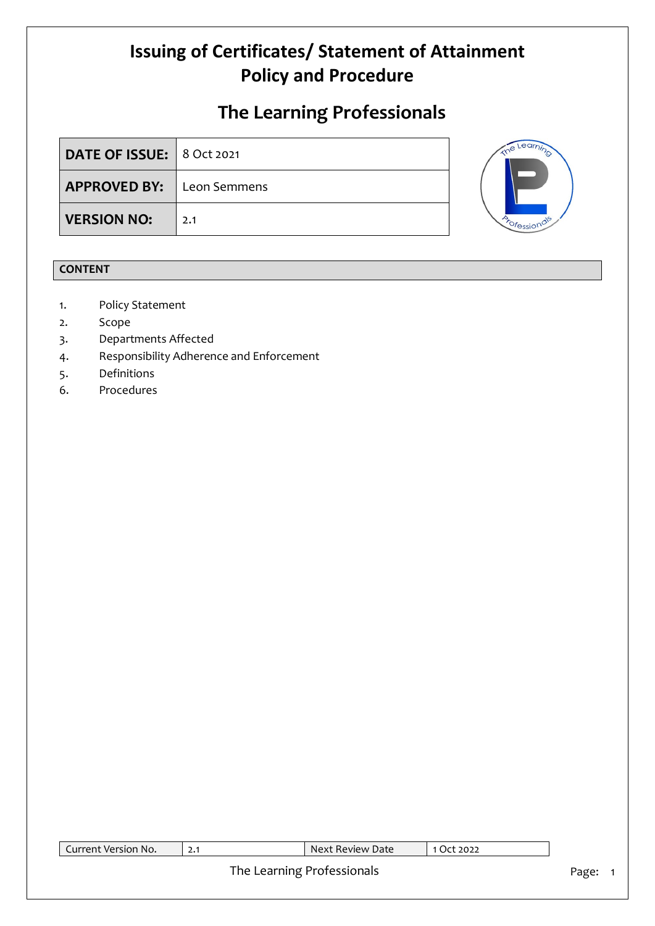# **The Learning Professionals**

| <b>DATE OF ISSUE: 8 Oct 2021</b> |     |
|----------------------------------|-----|
| <b>APPROVED BY:</b> Leon Semmens |     |
| <b>VERSION NO:</b>               | 2.1 |



#### **CONTENT**

- 1. Policy Statement
- 2. Scope
- 3. Departments Affected
- 4. Responsibility Adherence and Enforcement
- 5. Definitions
- 6. Procedures

| Current Version No. | 2.1 | Next Review Date           | 1 Oct 2022 |       |
|---------------------|-----|----------------------------|------------|-------|
|                     |     | The Learning Professionals |            | Page: |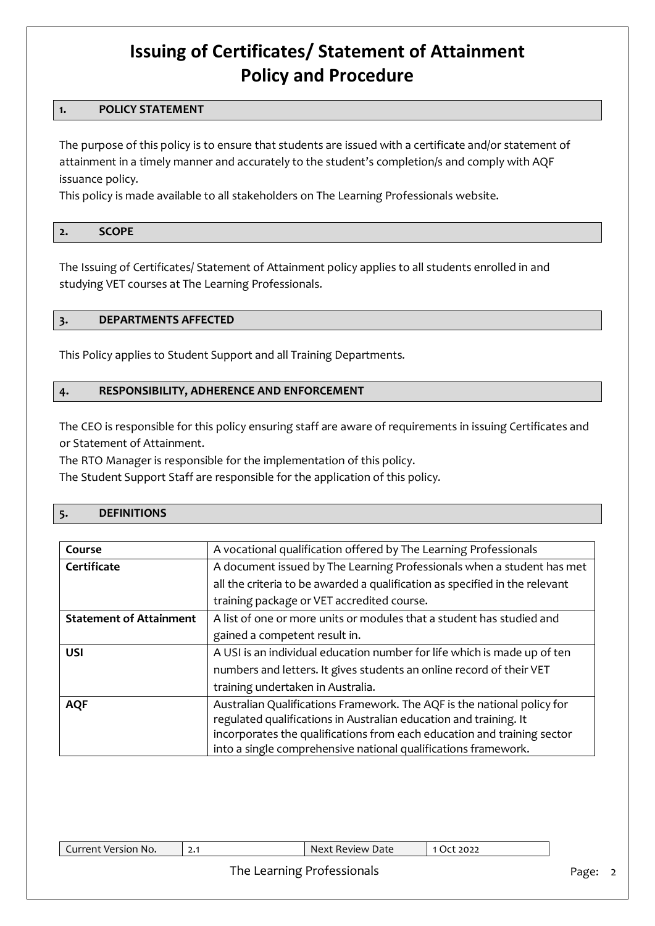#### **1. POLICY STATEMENT**

The purpose of this policy is to ensure that students are issued with a certificate and/or statement of attainment in a timely manner and accurately to the student's completion/s and comply with AQF issuance policy.

This policy is made available to all stakeholders on The Learning Professionals website.

### **2. SCOPE**

The Issuing of Certificates/ Statement of Attainment policy applies to all students enrolled in and studying VET courses at The Learning Professionals.

#### **3. DEPARTMENTS AFFECTED**

This Policy applies to Student Support and all Training Departments.

#### **4. RESPONSIBILITY, ADHERENCE AND ENFORCEMENT**

The CEO is responsible for this policy ensuring staff are aware of requirements in issuing Certificates and or Statement of Attainment.

The RTO Manager is responsible for the implementation of this policy.

The Student Support Staff are responsible for the application of this policy.

#### **5. DEFINITIONS**

| Course                         | A vocational qualification offered by The Learning Professionals            |
|--------------------------------|-----------------------------------------------------------------------------|
| Certificate                    | A document issued by The Learning Professionals when a student has met      |
|                                | all the criteria to be awarded a qualification as specified in the relevant |
|                                | training package or VET accredited course.                                  |
| <b>Statement of Attainment</b> | A list of one or more units or modules that a student has studied and       |
|                                | gained a competent result in.                                               |
| <b>USI</b>                     | A USI is an individual education number for life which is made up of ten    |
|                                | numbers and letters. It gives students an online record of their VET        |
|                                | training undertaken in Australia.                                           |
| <b>AQF</b>                     | Australian Qualifications Framework. The AQF is the national policy for     |
|                                | regulated qualifications in Australian education and training. It           |
|                                | incorporates the qualifications from each education and training sector     |
|                                | into a single comprehensive national qualifications framework.              |

| Novi<br>2022<br>Review Date<br>urrent.<br>* Version No.<br>ю<br><u></u> |
|-------------------------------------------------------------------------|
|-------------------------------------------------------------------------|

#### The Learning Professionals **Page: 2** Page: 2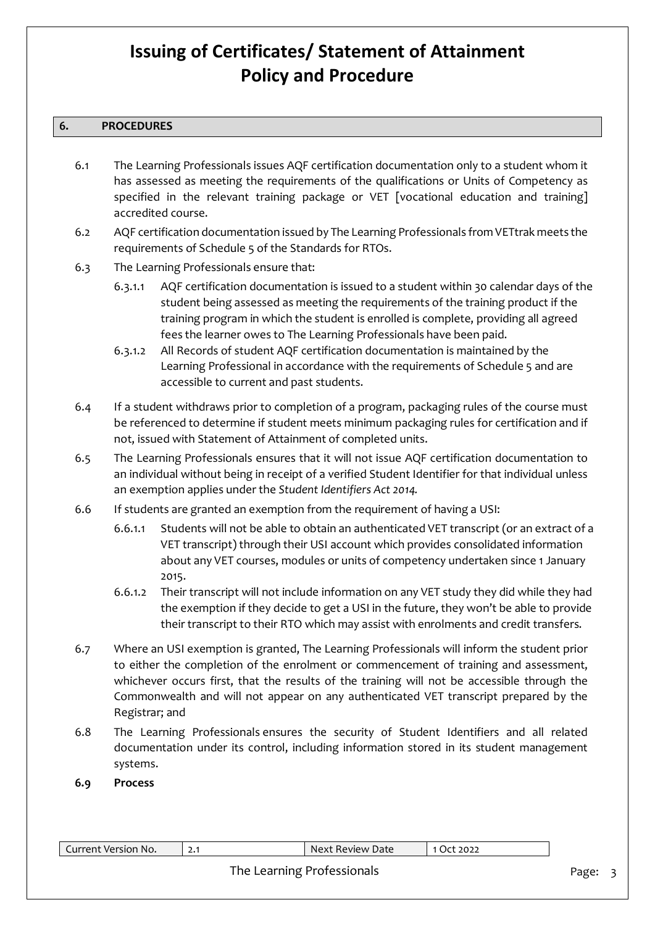#### **6. PROCEDURES**

- 6.1 The Learning Professionals issues AQF certification documentation only to a student whom it has assessed as meeting the requirements of the qualifications or Units of Competency as specified in the relevant training package or VET [vocational education and training] accredited course.
- 6.2 AQF certification documentation issued by The Learning Professionals from VETtrak meets the requirements of Schedule 5 of the Standards for RTOs.
- 6.3 The Learning Professionals ensure that:
	- 6.3.1.1 AQF certification documentation is issued to a student within 30 calendar days of the student being assessed as meeting the requirements of the training product if the training program in which the student is enrolled is complete, providing all agreed fees the learner owes to The Learning Professionals have been paid.
	- 6.3.1.2 All Records of student AQF certification documentation is maintained by the Learning Professional in accordance with the requirements of Schedule 5 and are accessible to current and past students.
- 6.4 If a student withdraws prior to completion of a program, packaging rules of the course must be referenced to determine if student meets minimum packaging rules for certification and if not, issued with Statement of Attainment of completed units.
- 6.5 The Learning Professionals ensures that it will not issue AQF certification documentation to an individual without being in receipt of a verified Student Identifier for that individual unless an exemption applies under the *Student Identifiers Act 2014.*
- 6.6 If students are granted an exemption from the requirement of having a USI:
	- 6.6.1.1 Students will not be able to obtain an authenticated VET transcript (or an extract of a VET transcript) through their USI account which provides consolidated information about any VET courses, modules or units of competency undertaken since 1 January 2015.
	- 6.6.1.2 Their transcript will not include information on any VET study they did while they had the exemption if they decide to get a USI in the future, they won't be able to provide their transcript to their RTO which may assist with enrolments and credit transfers.
- 6.7 Where an USI exemption is granted, The Learning Professionals will inform the student prior to either the completion of the enrolment or commencement of training and assessment, whichever occurs first, that the results of the training will not be accessible through the Commonwealth and will not appear on any authenticated VET transcript prepared by the Registrar; and
- 6.8 The Learning Professionals ensures the security of Student Identifiers and all related documentation under its control, including information stored in its student management systems.
- **6.9 Process**

| Current Version No. | 2.1 | Next Review Date           | 1 Oct 2022 |       |
|---------------------|-----|----------------------------|------------|-------|
|                     |     | The Learning Professionals |            | Page: |